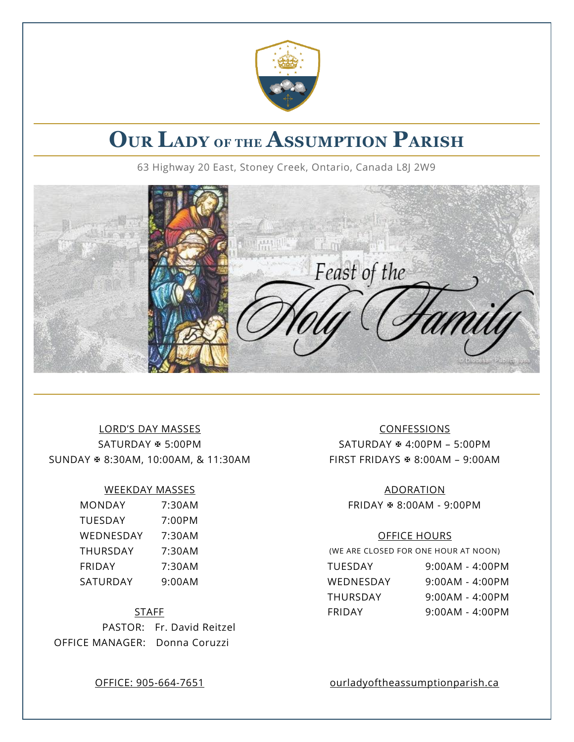

# **OUR LADY OF THE ASSUMPTION PARISH**

63 Highway 20 East, Stoney Creek, Ontario, Canada L8J 2W9



# LORD'S DAY MASSES CONFESSIONS SUNDAY  $\text{\# } 8:30\text{AM}, 10:00\text{AM}, 8:11:30\text{AM}$  FIRST FRIDAYS  $\text{\# } 8:00\text{AM}$  – 9:00AM

#### WEEKDAY MASSES ADORATION

| <b>MONDAY</b>   | 7:30AM |
|-----------------|--------|
| <b>TUESDAY</b>  | 7:00PM |
| WEDNESDAY       | 7:30AM |
| <b>THURSDAY</b> | 7:30AM |
| FRIDAY          | 7:30AM |
| SATURDAY        | 9:00AM |

PASTOR: Fr. David Reitzel OFFICE MANAGER: Donna Coruzzi

SATURDAY  $\ast$  5:00PM SATURDAY  $\ast$  4:00PM – 5:00PM

MONDAY 7:30AM FRIDAY 8:00AM - 9:00PM

#### OFFICE HOURS

(WE ARE CLOSED FOR ONE HOUR AT NOON)

| FRIDAY   | 7:30AM | TUESDAY   | 9:00AM - 4:00PM   |
|----------|--------|-----------|-------------------|
| SATURDAY | 9:00AM | WEDNESDAY | 9:00AM - 4:00PM   |
|          |        | THURSDAY  | 9:00AM - 4:00PM   |
|          | STAFF  | FRIDAY    | $9:00AM - 4:00PM$ |

OFFICE: 905-664-7651 ourladyoftheassumptionparish.ca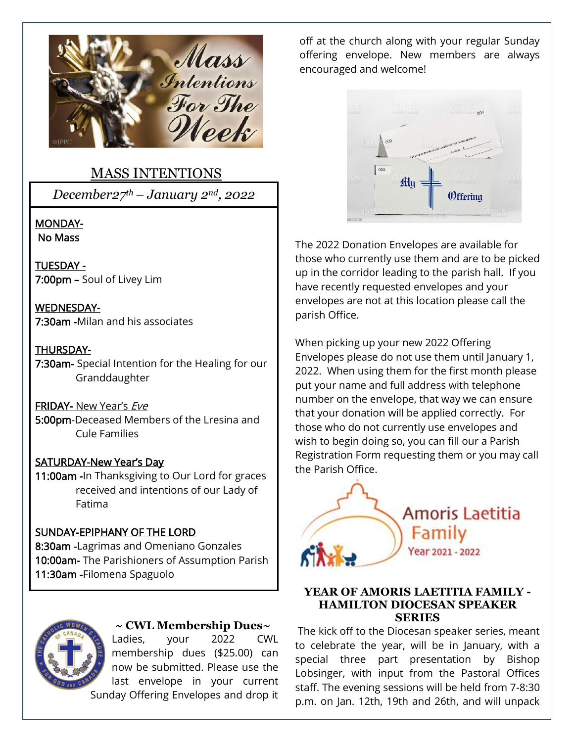

# MASS INTENTIONS

*December27th– January 2nd, 2022*

#### MONDAY- No Mass

TUESDAY - 7:00pm – Soul of Livey Lim

WEDNESDAY-7:30am -Milan and his associates

# THURSDAY-

7:30am- Special Intention for the Healing for our Granddaughter

# FRIDAY- New Year's Eve

5:00pm-Deceased Members of the Lresina and Cule Families

# SATURDAY-New Year's Day

11:00am -In Thanksgiving to Our Lord for graces received and intentions of our Lady of Fatima

# SUNDAY-EPIPHANY OF THE LORD

8:30am -Lagrimas and Omeniano Gonzales 10:00am- The Parishioners of Assumption Parish 11:30am -Filomena Spaguolo



### **~ CWL Membership Dues~**

Ladies, your 2022 CWL membership dues (\$25.00) can now be submitted. Please use the last envelope in your current Sunday Offering Envelopes and drop it

off at the church along with your regular Sunday offering envelope. New members are always encouraged and welcome!



The 2022 Donation Envelopes are available for those who currently use them and are to be picked up in the corridor leading to the parish hall. If you have recently requested envelopes and your envelopes are not at this location please call the parish Office.

When picking up your new 2022 Offering Envelopes please do not use them until January 1, 2022. When using them for the first month please put your name and full address with telephone number on the envelope, that way we can ensure that your donation will be applied correctly. For those who do not currently use envelopes and wish to begin doing so, you can fill our a Parish Registration Form requesting them or you may call the Parish Office.



#### **YEAR OF AMORIS LAETITIA FAMILY - HAMILTON DIOCESAN SPEAKER SERIES**

The kick off to the Diocesan speaker series, meant to celebrate the year, will be in January, with a special three part presentation by Bishop Lobsinger, with input from the Pastoral Offices staff. The evening sessions will be held from 7-8:30 p.m. on Jan. 12th, 19th and 26th, and will unpack